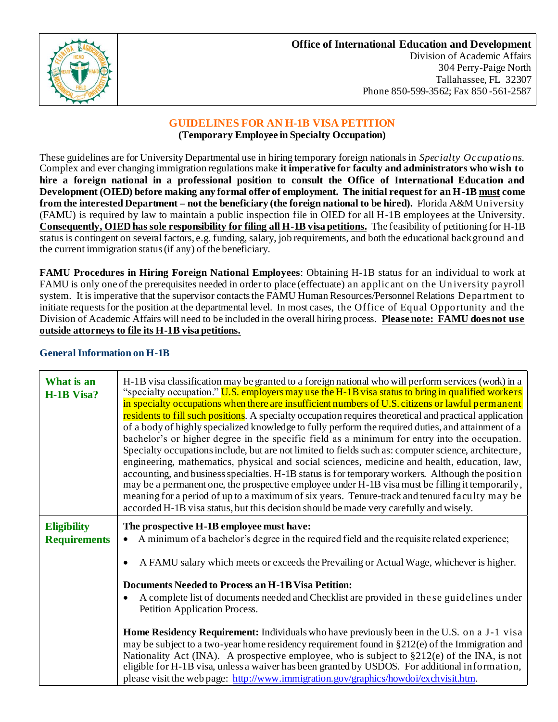

# **GUIDELINES FOR AN H-1B VISA PETITION**

## **(Temporary Employee in Specialty Occupation)**

These guidelines are for University Departmental use in hiring temporary foreign nationals in *Specialty Occupatio ns.* Complex and ever changing immigration regulations make **it imperative for faculty and administrators who wish to hire a foreign national in a professional position to consult the Office of International Education and Development (OIED) before making any formal offer of employment. The initial request for an H-1B must come from the interested Department – not the beneficiary (the foreign national to be hired).** Florida A&M University (FAMU) is required by law to maintain a public inspection file in OIED for all H-1B employees at the University. **Consequently, OIED has sole responsibility for filing all H-1B visa petitions.** The feasibility of petitioning for H-1B status is contingent on several factors, e.g. funding, salary, job requirements, and both the educational background and the current immigration status (if any) of the beneficiary.

**FAMU Procedures in Hiring Foreign National Employees**: Obtaining H-1B status for an individual to work at FAMU is only one of the prerequisites needed in order to place (effectuate) an applicant on the University payroll system. It is imperative that the supervisor contacts the FAMU Human Resources/Personnel Relations Depa rtment to initiate requests for the position at the departmental level. In most cases, the Office of Equal Opportunity and the Division of Academic Affairs will need to be included in the overall hiring process. **Please note: FAMU does not use outside attorneys to file its H-1B visa petitions.** 

### **What is an H-1B Visa?** H-1B visa classification may be granted to a foreign national who will perform services (work) in a "specialty occupation." U.S. employers may use the H-1B visa status to bring in qualified workers in specialty occupations when there are insufficient numbers of U.S. citizens or lawful permanent residents to fill such positions. A specialty occupation requires theoretical and practical application of a body of highly specialized knowledge to fully perform the required duties, and attainment of a bachelor's or higher degree in the specific field as a minimum for entry into the occupation. Specialty occupations include, but are not limited to fields such as: computer science, architecture, engineering, mathematics, physical and social sciences, medicine and health, education, law, accounting, and business specialties. H-1B status is for temporary workers. Although the position may be a permanent one, the prospective employee under H-1B visa must be filling it temporarily, meaning for a period of up to a maximum of six years. Tenure-track and tenured faculty may be accorded H-1B visa status, but this decision should be made very carefully and wisely. **Eligibility Requirements The prospective H-1B employee must have:** • A minimum of a bachelor's degree in the required field and the requisite related experience; • A FAMU salary which meets or exceeds the Prevailing or Actual Wage, whichever is higher. **Documents Needed to Process an H-1B Visa Petition:** • A complete list of documents needed and Checklist are provided in the se guidelines under Petition Application Process. **Home Residency Requirement:** Individuals who have previously been in the U.S. on a J-1 visa may be subject to a two-year home residency requirement found in §212(e) of the Immigration and Nationality Act (INA). A prospective employee, who is subject to  $\S212(e)$  of the INA, is not eligible for H-1B visa, unless a waiver has been granted by USDOS. For additional information, please visit the web page:<http://www.immigration.gov/graphics/howdoi/exchvisit.htm>.

# **General Information on H-1B**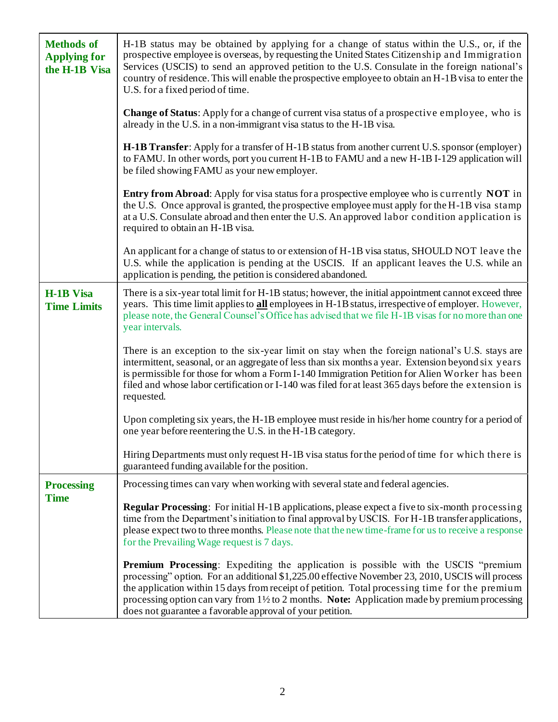| <b>Methods of</b><br><b>Applying for</b><br>the H-1B Visa | H-1B status may be obtained by applying for a change of status within the U.S., or, if the<br>prospective employee is overseas, by requesting the United States Citizenship and Immigration<br>Services (USCIS) to send an approved petition to the U.S. Consulate in the foreign national's<br>country of residence. This will enable the prospective employee to obtain an H-1B visa to enter the<br>U.S. for a fixed period of time.                                         |
|-----------------------------------------------------------|---------------------------------------------------------------------------------------------------------------------------------------------------------------------------------------------------------------------------------------------------------------------------------------------------------------------------------------------------------------------------------------------------------------------------------------------------------------------------------|
|                                                           | Change of Status: Apply for a change of current visa status of a prospective employee, who is<br>already in the U.S. in a non-immigrant visa status to the H-1B visa.                                                                                                                                                                                                                                                                                                           |
|                                                           | <b>H-1B Transfer:</b> Apply for a transfer of H-1B status from another current U.S. sponsor (employer)<br>to FAMU. In other words, port you current H-1B to FAMU and a new H-1B I-129 application will<br>be filed showing FAMU as your new employer.                                                                                                                                                                                                                           |
|                                                           | <b>Entry from Abroad:</b> Apply for visa status for a prospective employee who is currently <b>NOT</b> in<br>the U.S. Once approval is granted, the prospective employee must apply for the H-1B visa stamp<br>at a U.S. Consulate abroad and then enter the U.S. An approved labor condition application is<br>required to obtain an H-1B visa.                                                                                                                                |
|                                                           | An applicant for a change of status to or extension of H-1B visa status, SHOULD NOT leave the<br>U.S. while the application is pending at the USCIS. If an applicant leaves the U.S. while an<br>application is pending, the petition is considered abandoned.                                                                                                                                                                                                                  |
| <b>H-1B Visa</b><br><b>Time Limits</b>                    | There is a six-year total limit for H-1B status; however, the initial appointment cannot exceed three<br>years. This time limit applies to all employees in H-1B status, irrespective of employer. However,<br>please note, the General Counsel's Office has advised that we file H-1B visas for no more than one<br>year intervals.                                                                                                                                            |
|                                                           | There is an exception to the six-year limit on stay when the foreign national's U.S. stays are<br>intermittent, seasonal, or an aggregate of less than six months a year. Extension beyond six years<br>is permissible for those for whom a Form I-140 Immigration Petition for Alien Worker has been<br>filed and whose labor certification or I-140 was filed for at least 365 days before the extension is<br>requested.                                                     |
|                                                           | Upon completing six years, the H-1B employee must reside in his/her home country for a period of<br>one year before reentering the U.S. in the H-1B category.                                                                                                                                                                                                                                                                                                                   |
|                                                           | Hiring Departments must only request H-1B visa status for the period of time for which there is<br>guaranteed funding available for the position.                                                                                                                                                                                                                                                                                                                               |
| <b>Processing</b>                                         | Processing times can vary when working with several state and federal agencies.                                                                                                                                                                                                                                                                                                                                                                                                 |
| <b>Time</b>                                               | <b>Regular Processing:</b> For initial H-1B applications, please expect a five to six-month processing<br>time from the Department's initiation to final approval by USCIS. For H-1B transfer applications,<br>please expect two to three months. Please note that the new time-frame for us to receive a response<br>for the Prevailing Wage request is 7 days.                                                                                                                |
|                                                           | <b>Premium Processing:</b> Expediting the application is possible with the USCIS "premium<br>processing" option. For an additional \$1,225.00 effective November 23, 2010, USCIS will process<br>the application within 15 days from receipt of petition. Total processing time for the premium<br>processing option can vary from $1\frac{1}{2}$ to 2 months. <b>Note:</b> Application made by premium processing<br>does not guarantee a favorable approval of your petition. |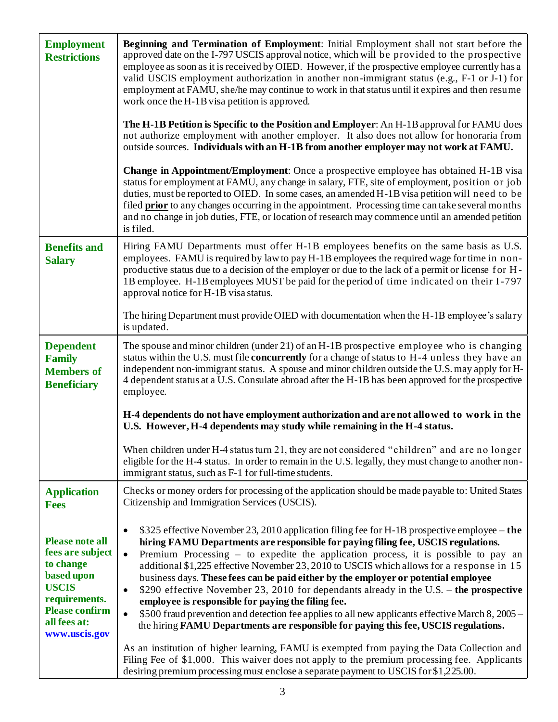| <b>Employment</b><br><b>Restrictions</b>                                                                                                                         | <b>Beginning and Termination of Employment:</b> Initial Employment shall not start before the<br>approved date on the I-797 USCIS approval notice, which will be provided to the prospective<br>employee as soon as it is received by OIED. However, if the prospective employee currently has a<br>valid USCIS employment authorization in another non-immigrant status (e.g., F-1 or J-1) for<br>employment at FAMU, she/he may continue to work in that status until it expires and then resume<br>work once the H-1B visa petition is approved.<br>The H-1B Petition is Specific to the Position and Employer: An H-1B approval for FAMU does<br>not authorize employment with another employer. It also does not allow for honoraria from<br>outside sources. Individuals with an H-1B from another employer may not work at FAMU.                   |  |
|------------------------------------------------------------------------------------------------------------------------------------------------------------------|-----------------------------------------------------------------------------------------------------------------------------------------------------------------------------------------------------------------------------------------------------------------------------------------------------------------------------------------------------------------------------------------------------------------------------------------------------------------------------------------------------------------------------------------------------------------------------------------------------------------------------------------------------------------------------------------------------------------------------------------------------------------------------------------------------------------------------------------------------------|--|
|                                                                                                                                                                  | <b>Change in Appointment/Employment:</b> Once a prospective employee has obtained H-1B visa<br>status for employment at FAMU, any change in salary, FTE, site of employment, position or job<br>duties, must be reported to OIED. In some cases, an amended H-1B visa petition will need to be<br>filed prior to any changes occurring in the appointment. Processing time can take several months<br>and no change in job duties, FTE, or location of research may commence until an amended petition<br>is filed.                                                                                                                                                                                                                                                                                                                                       |  |
| <b>Benefits and</b><br><b>Salary</b>                                                                                                                             | Hiring FAMU Departments must offer H-1B employees benefits on the same basis as U.S.<br>employees. FAMU is required by law to pay H-1B employees the required wage for time in non-<br>productive status due to a decision of the employer or due to the lack of a permit or license for H-<br>1B employee. H-1B employees MUST be paid for the period of time indicated on their I-797<br>approval notice for H-1B visa status.                                                                                                                                                                                                                                                                                                                                                                                                                          |  |
|                                                                                                                                                                  | The hiring Department must provide OIED with documentation when the H-1B employee's salary<br>is updated.                                                                                                                                                                                                                                                                                                                                                                                                                                                                                                                                                                                                                                                                                                                                                 |  |
| <b>Dependent</b><br><b>Family</b><br><b>Members of</b><br><b>Beneficiary</b>                                                                                     | The spouse and minor children (under 21) of an H-1B prospective employee who is changing<br>status within the U.S. must file concurrently for a change of status to H-4 unless they have an<br>independent non-immigrant status. A spouse and minor children outside the U.S. may apply for H-<br>4 dependent status at a U.S. Consulate abroad after the H-1B has been approved for the prospective<br>employee.                                                                                                                                                                                                                                                                                                                                                                                                                                         |  |
|                                                                                                                                                                  | H-4 dependents do not have employment authorization and are not allowed to work in the<br>U.S. However, H-4 dependents may study while remaining in the H-4 status.                                                                                                                                                                                                                                                                                                                                                                                                                                                                                                                                                                                                                                                                                       |  |
|                                                                                                                                                                  | When children under H-4 status turn 21, they are not considered "children" and are no longer<br>eligible for the H-4 status. In order to remain in the U.S. legally, they must change to another non-<br>immigrant status, such as F-1 for full-time students.                                                                                                                                                                                                                                                                                                                                                                                                                                                                                                                                                                                            |  |
| <b>Application</b><br><b>Fees</b>                                                                                                                                | Checks or money orders for processing of the application should be made payable to: United States<br>Citizenship and Immigration Services (USCIS).                                                                                                                                                                                                                                                                                                                                                                                                                                                                                                                                                                                                                                                                                                        |  |
| <b>Please note all</b><br>fees are subject<br>to change<br>based upon<br><b>USCIS</b><br>requirements.<br><b>Please confirm</b><br>all fees at:<br>www.uscis.gov | \$325 effective November 23, 2010 application filing fee for H-1B prospective employee – the<br>$\bullet$<br>hiring FAMU Departments are responsible for paying filing fee, USCIS regulations.<br>Premium Processing - to expedite the application process, it is possible to pay an<br>$\bullet$<br>additional \$1,225 effective November 23, 2010 to USCIS which allows for a response in 15<br>business days. These fees can be paid either by the employer or potential employee<br>\$290 effective November 23, 2010 for dependants already in the U.S. – the prospective<br>$\bullet$<br>employee is responsible for paying the filing fee.<br>\$500 fraud prevention and detection fee applies to all new applicants effective March 8, 2005 –<br>$\bullet$<br>the hiring FAMU Departments are responsible for paying this fee, USCIS regulations. |  |
|                                                                                                                                                                  | As an institution of higher learning, FAMU is exempted from paying the Data Collection and<br>Filing Fee of \$1,000. This waiver does not apply to the premium processing fee. Applicants<br>desiring premium processing must enclose a separate payment to USCIS for \$1,225.00.                                                                                                                                                                                                                                                                                                                                                                                                                                                                                                                                                                         |  |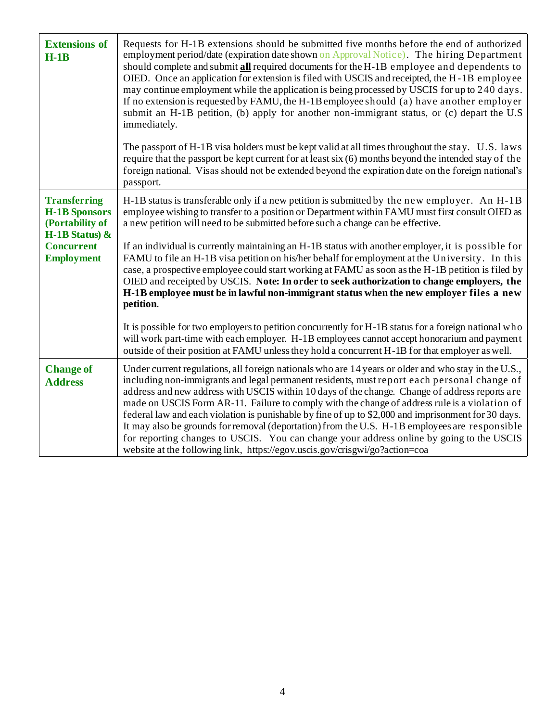| <b>Extensions of</b><br>$H-1B$                                                                                                | Requests for H-1B extensions should be submitted five months before the end of authorized<br>employment period/date (expiration date shown on Approval Notice). The hiring Department<br>should complete and submit all required documents for the H-1B employee and dependents to<br>OIED. Once an application for extension is filed with USCIS and receipted, the H-1B employee<br>may continue employment while the application is being processed by USCIS for up to 240 days.<br>If no extension is requested by FAMU, the H-1B employee should (a) have another employer<br>submit an H-1B petition, (b) apply for another non-immigrant status, or (c) depart the U.S<br>immediately.<br>The passport of H-1B visa holders must be kept valid at all times throughout the stay. U.S. laws<br>require that the passport be kept current for at least six (6) months beyond the intended stay of the<br>foreign national. Visas should not be extended beyond the expiration date on the foreign national's<br>passport. |
|-------------------------------------------------------------------------------------------------------------------------------|--------------------------------------------------------------------------------------------------------------------------------------------------------------------------------------------------------------------------------------------------------------------------------------------------------------------------------------------------------------------------------------------------------------------------------------------------------------------------------------------------------------------------------------------------------------------------------------------------------------------------------------------------------------------------------------------------------------------------------------------------------------------------------------------------------------------------------------------------------------------------------------------------------------------------------------------------------------------------------------------------------------------------------|
| <b>Transferring</b><br><b>H-1B Sponsors</b><br>(Portability of<br>H-1B Status) $\&$<br><b>Concurrent</b><br><b>Employment</b> | H-1B status is transferable only if a new petition is submitted by the new employer. An H-1B<br>employee wishing to transfer to a position or Department within FAMU must first consult OIED as<br>a new petition will need to be submitted before such a change can be effective.<br>If an individual is currently maintaining an H-1B status with another employer, it is possible for<br>FAMU to file an H-1B visa petition on his/her behalf for employment at the University. In this<br>case, a prospective employee could start working at FAMU as soon as the H-1B petition is filed by<br>OIED and receipted by USCIS. Note: In order to seek authorization to change employers, the<br>H-1B employee must be in lawful non-immigrant status when the new employer files a new<br>petition.                                                                                                                                                                                                                           |
|                                                                                                                               | It is possible for two employers to petition concurrently for H-1B status for a foreign national who<br>will work part-time with each employer. H-1B employees cannot accept honorarium and payment<br>outside of their position at FAMU unless they hold a concurrent H-1B for that employer as well.                                                                                                                                                                                                                                                                                                                                                                                                                                                                                                                                                                                                                                                                                                                         |
| <b>Change of</b><br><b>Address</b>                                                                                            | Under current regulations, all foreign nationals who are 14 years or older and who stay in the U.S.,<br>including non-immigrants and legal permanent residents, must report each personal change of<br>address and new address with USCIS within 10 days of the change. Change of address reports are<br>made on USCIS Form AR-11. Failure to comply with the change of address rule is a violation of<br>federal law and each violation is punishable by fine of up to \$2,000 and imprisonment for 30 days.<br>It may also be grounds for removal (deportation) from the U.S. H-1B employees are responsible<br>for reporting changes to USCIS. You can change your address online by going to the USCIS<br>website at the following link, https://egov.uscis.gov/crisgwi/go?action=coa                                                                                                                                                                                                                                      |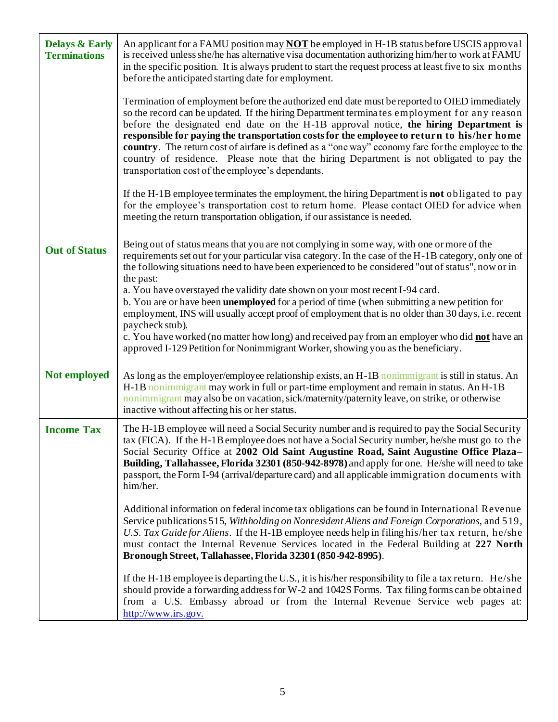| <b>Delays &amp; Early</b><br><b>Terminations</b> | An applicant for a FAMU position may <b>NOT</b> be employed in H-1B status before USCIS approval<br>is received unless she/he has alternative visa documentation authorizing him/her to work at FAMU<br>in the specific position. It is always prudent to start the request process at least five to six months<br>before the anticipated starting date for employment.                                                                                                                                                                                                                                                                   |  |
|--------------------------------------------------|-------------------------------------------------------------------------------------------------------------------------------------------------------------------------------------------------------------------------------------------------------------------------------------------------------------------------------------------------------------------------------------------------------------------------------------------------------------------------------------------------------------------------------------------------------------------------------------------------------------------------------------------|--|
|                                                  | Termination of employment before the authorized end date must be reported to OIED immediately<br>so the record can be updated. If the hiring Department terminates employment for any reason<br>before the designated end date on the H-1B approval notice, the hiring Department is<br>responsible for paying the transportation costs for the employee to return to his/her home<br>country. The return cost of airfare is defined as a "one way" economy fare for the employee to the<br>country of residence. Please note that the hiring Department is not obligated to pay the<br>transportation cost of the employee's dependants. |  |
|                                                  | If the H-1B employee terminates the employment, the hiring Department is <b>not</b> obligated to pay<br>for the employee's transportation cost to return home. Please contact OIED for advice when<br>meeting the return transportation obligation, if our assistance is needed.                                                                                                                                                                                                                                                                                                                                                          |  |
| <b>Out of Status</b>                             | Being out of status means that you are not complying in some way, with one or more of the<br>requirements set out for your particular visa category. In the case of the H-1B category, only one of<br>the following situations need to have been experienced to be considered "out of status", now or in<br>the past:                                                                                                                                                                                                                                                                                                                     |  |
|                                                  | a. You have overstayed the validity date shown on your most recent I-94 card.<br>b. You are or have been <b>unemployed</b> for a period of time (when submitting a new petition for<br>employment, INS will usually accept proof of employment that is no older than 30 days, i.e. recent                                                                                                                                                                                                                                                                                                                                                 |  |
|                                                  | paycheck stub).<br>c. You have worked (no matter how long) and received pay from an employer who did not have an<br>approved I-129 Petition for Nonimmigrant Worker, showing you as the beneficiary.                                                                                                                                                                                                                                                                                                                                                                                                                                      |  |
| Not employed                                     | As long as the employer/employee relationship exists, an H-1B noniminigrant is still in status. An<br>H-1B nonimmigrant may work in full or part-time employment and remain in status. An H-1B<br>nonimmigrant may also be on vacation, sick/maternity/paternity leave, on strike, or otherwise<br>inactive without affecting his or her status.                                                                                                                                                                                                                                                                                          |  |
| <b>Income Tax</b>                                | The H-1B employee will need a Social Security number and is required to pay the Social Security<br>tax (FICA). If the H-1B employee does not have a Social Security number, he/she must go to the<br>Social Security Office at 2002 Old Saint Augustine Road, Saint Augustine Office Plaza-<br><b>Building, Tallahassee, Florida 32301 (850-942-8978)</b> and apply for one. He/she will need to take<br>passport, the Form I-94 (arrival/departure card) and all applicable immigration documents with<br>him/her.                                                                                                                       |  |
|                                                  | Additional information on federal income tax obligations can be found in International Revenue<br>Service publications 515, Withholding on Nonresident Aliens and Foreign Corporations, and 519,<br>U.S. Tax Guide for Aliens. If the H-1B employee needs help in filing his/her tax return, he/she<br>must contact the Internal Revenue Services located in the Federal Building at 227 North<br>Bronough Street, Tallahassee, Florida 32301 (850-942-8995).                                                                                                                                                                             |  |
|                                                  | If the H-1B employee is departing the U.S., it is his/her responsibility to file a tax return. He/she<br>should provide a forwarding address for W-2 and 1042S Forms. Tax filing forms can be obtained<br>from a U.S. Embassy abroad or from the Internal Revenue Service web pages at:<br>http://www.irs.gov.                                                                                                                                                                                                                                                                                                                            |  |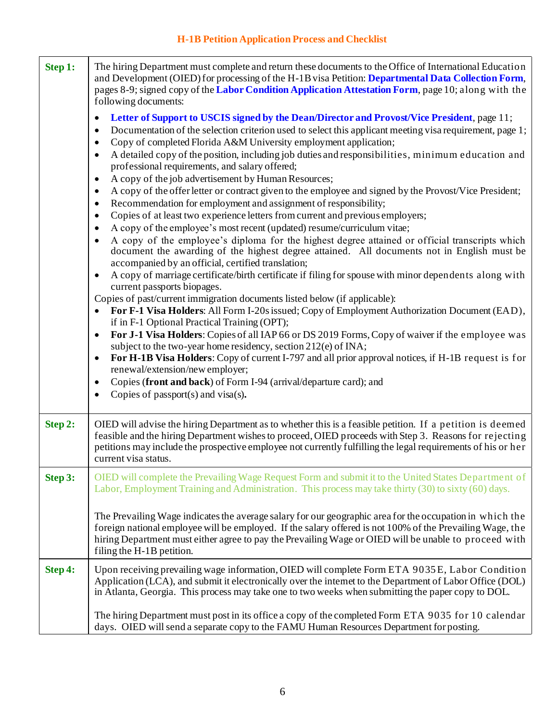| Step 1: | The hiring Department must complete and return these documents to the Office of International Education<br>and Development (OIED) for processing of the H-1B visa Petition: Departmental Data Collection Form,<br>pages 8-9; signed copy of the Labor Condition Application Attestation Form, page 10; along with the<br>following documents:                                                                                                                                                                                                      |  |
|---------|----------------------------------------------------------------------------------------------------------------------------------------------------------------------------------------------------------------------------------------------------------------------------------------------------------------------------------------------------------------------------------------------------------------------------------------------------------------------------------------------------------------------------------------------------|--|
|         | Letter of Support to USCIS signed by the Dean/Director and Provost/Vice President, page 11;<br>$\bullet$<br>Documentation of the selection criterion used to select this applicant meeting visa requirement, page 1;<br>$\bullet$<br>Copy of completed Florida A&M University employment application;<br>$\bullet$<br>A detailed copy of the position, including job duties and responsibilities, minimum education and<br>$\bullet$<br>professional requirements, and salary offered;<br>A copy of the job advertisement by Human Resources;<br>٠ |  |
|         | A copy of the offer letter or contract given to the employee and signed by the Provost/Vice President;<br>$\bullet$<br>Recommendation for employment and assignment of responsibility;<br>$\bullet$<br>Copies of at least two experience letters from current and previous employers;<br>٠                                                                                                                                                                                                                                                         |  |
|         | A copy of the employee's most recent (updated) resume/curriculum vitae;<br>٠<br>A copy of the employee's diploma for the highest degree attained or official transcripts which<br>$\bullet$<br>document the awarding of the highest degree attained. All documents not in English must be<br>accompanied by an official, certified translation;                                                                                                                                                                                                    |  |
|         | A copy of marriage certificate/birth certificate if filing for spouse with minor dependents along with<br>$\bullet$<br>current passports biopages.<br>Copies of past/current immigration documents listed below (if applicable):                                                                                                                                                                                                                                                                                                                   |  |
|         | For F-1 Visa Holders: All Form I-20s issued; Copy of Employment Authorization Document (EAD),<br>$\bullet$<br>if in F-1 Optional Practical Training (OPT);<br>For J-1 Visa Holders: Copies of all IAP 66 or DS 2019 Forms, Copy of waiver if the employee was<br>$\bullet$<br>subject to the two-year home residency, section 212(e) of INA;                                                                                                                                                                                                       |  |
|         | For H-1B Visa Holders: Copy of current I-797 and all prior approval notices, if H-1B request is for<br>$\bullet$<br>renewal/extension/new employer;<br>Copies (front and back) of Form I-94 (arrival/departure card); and<br>٠                                                                                                                                                                                                                                                                                                                     |  |
|         | Copies of passport $(s)$ and visa $(s)$ .<br>$\bullet$                                                                                                                                                                                                                                                                                                                                                                                                                                                                                             |  |
| Step 2: | OIED will advise the hiring Department as to whether this is a feasible petition. If a petition is deemed<br>feasible and the hiring Department wishes to proceed, OIED proceeds with Step 3. Reasons for rejecting<br>petitions may include the prospective employee not currently fulfilling the legal requirements of his or her<br>current visa status.                                                                                                                                                                                        |  |
| Step 3: | OIED will complete the Prevailing Wage Request Form and submit it to the United States Department of<br>Labor, Employment Training and Administration. This process may take thirty (30) to sixty (60) days.                                                                                                                                                                                                                                                                                                                                       |  |
|         | The Prevailing Wage indicates the average salary for our geographic area for the occupation in which the<br>foreign national employee will be employed. If the salary offered is not 100% of the Prevailing Wage, the<br>hiring Department must either agree to pay the Prevailing Wage or OIED will be unable to proceed with<br>filing the H-1B petition.                                                                                                                                                                                        |  |
| Step 4: | Upon receiving prevailing wage information, OIED will complete Form ETA 9035E, Labor Condition<br>Application (LCA), and submit it electronically over the internet to the Department of Labor Office (DOL)<br>in Atlanta, Georgia. This process may take one to two weeks when submitting the paper copy to DOL.                                                                                                                                                                                                                                  |  |
|         | The hiring Department must post in its office a copy of the completed Form ETA 9035 for 10 calendar<br>days. OIED will send a separate copy to the FAMU Human Resources Department for posting.                                                                                                                                                                                                                                                                                                                                                    |  |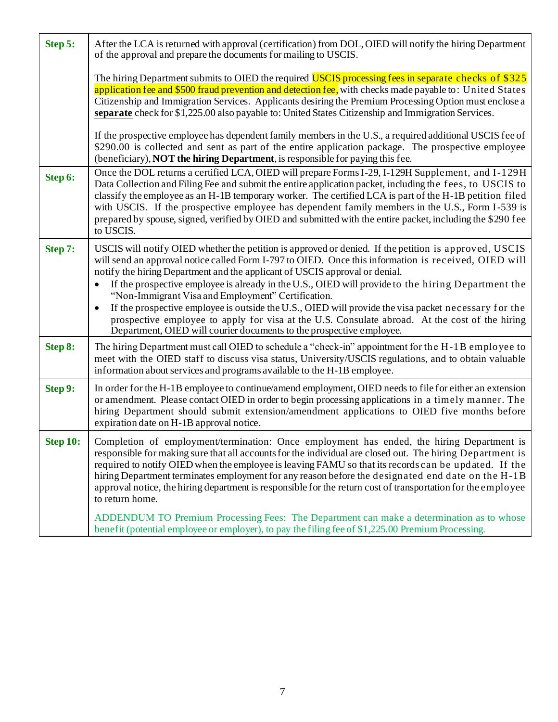| Step 5:  | After the LCA is returned with approval (certification) from DOL, OIED will notify the hiring Department<br>of the approval and prepare the documents for mailing to USCIS.                                                                                                                                                                                                                                                                                                                                                                                                                                                                                                                                                                |  |
|----------|--------------------------------------------------------------------------------------------------------------------------------------------------------------------------------------------------------------------------------------------------------------------------------------------------------------------------------------------------------------------------------------------------------------------------------------------------------------------------------------------------------------------------------------------------------------------------------------------------------------------------------------------------------------------------------------------------------------------------------------------|--|
|          | The hiring Department submits to OIED the required USCIS processing fees in separate checks of \$325<br>application fee and \$500 fraud prevention and detection fee, with checks made payable to: United States<br>Citizenship and Immigration Services. Applicants desiring the Premium Processing Option must enclose a<br>separate check for \$1,225.00 also payable to: United States Citizenship and Immigration Services.                                                                                                                                                                                                                                                                                                           |  |
|          | If the prospective employee has dependent family members in the U.S., a required additional USCIS fee of<br>\$290.00 is collected and sent as part of the entire application package. The prospective employee<br>(beneficiary), NOT the hiring Department, is responsible for paying this fee.                                                                                                                                                                                                                                                                                                                                                                                                                                            |  |
| Step 6:  | Once the DOL returns a certified LCA, OIED will prepare Forms I-29, I-129H Supplement, and I-129H<br>Data Collection and Filing Fee and submit the entire application packet, including the fees, to USCIS to<br>classify the employee as an H-1B temporary worker. The certified LCA is part of the H-1B petition filed<br>with USCIS. If the prospective employee has dependent family members in the U.S., Form I-539 is<br>prepared by spouse, signed, verified by OIED and submitted with the entire packet, including the \$290 fee<br>to USCIS.                                                                                                                                                                                     |  |
| Step 7:  | USCIS will notify OIED whether the petition is approved or denied. If the petition is approved, USCIS<br>will send an approval notice called Form I-797 to OIED. Once this information is received, OIED will<br>notify the hiring Department and the applicant of USCIS approval or denial.<br>If the prospective employee is already in the U.S., OIED will provide to the hiring Department the<br>"Non-Immigrant Visa and Employment" Certification.<br>If the prospective employee is outside the U.S., OIED will provide the visa packet necessary for the<br>prospective employee to apply for visa at the U.S. Consulate abroad. At the cost of the hiring<br>Department, OIED will courier documents to the prospective employee. |  |
| Step 8:  | The hiring Department must call OIED to schedule a "check-in" appointment for the H-1B employee to<br>meet with the OIED staff to discuss visa status, University/USCIS regulations, and to obtain valuable<br>information about services and programs available to the H-1B employee.                                                                                                                                                                                                                                                                                                                                                                                                                                                     |  |
| Step 9:  | In order for the H-1B employee to continue/amend employment, OIED needs to file for either an extension<br>or amendment. Please contact OIED in order to begin processing applications in a timely manner. The<br>hiring Department should submit extension/amendment applications to OIED five months before<br>expiration date on H-1B approval notice.                                                                                                                                                                                                                                                                                                                                                                                  |  |
| Step 10: | Completion of employment/termination: Once employment has ended, the hiring Department is<br>responsible for making sure that all accounts for the individual are closed out. The hiring Department is<br>required to notify OIED when the employee is leaving FAMU so that its records can be updated. If the<br>hiring Department terminates employment for any reason before the designated end date on the H-1B<br>approval notice, the hiring department is responsible for the return cost of transportation for the employee<br>to return home.                                                                                                                                                                                     |  |
|          | ADDENDUM TO Premium Processing Fees: The Department can make a determination as to whose<br>benefit (potential employee or employer), to pay the filing fee of \$1,225.00 Premium Processing.                                                                                                                                                                                                                                                                                                                                                                                                                                                                                                                                              |  |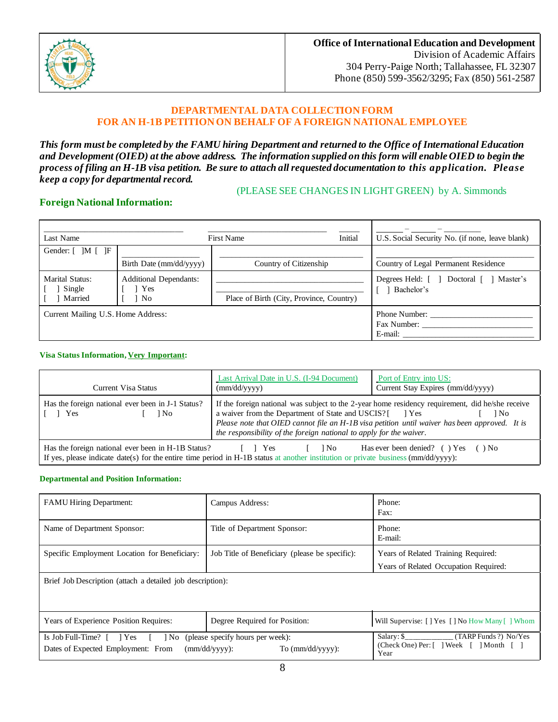

### **DEPARTMENTAL DATA COLLECTION FORM FOR AN H-1B PETITION ON BEHALF OF A FOREIGN NATIONAL EMPLOYEE**

*This form must be completed by the FAMU hiring Department and returned to the Office of International Education and Development (OIED) at the above address. The information supplied on this form will enable OIED to begin the process of filing an H-1B visa petition. Be sure to attach all requested documentation to this application. Please keep a copy for departmental record.*

## (PLEASE SEE CHANGES IN LIGHT GREEN) by A. Simmonds

### **Foreign National Information:**

| Last Name                            |                                            | Initial<br>First Name                    | U.S. Social Security No. (if none, leave blank)        |
|--------------------------------------|--------------------------------------------|------------------------------------------|--------------------------------------------------------|
| Gender: [ ]M [ ]F                    | Birth Date (mm/dd/yyyy)                    | Country of Citizenship                   | Country of Legal Permanent Residence                   |
| Marital Status:<br>Single<br>Married | <b>Additional Dependants:</b><br>Yes<br>No | Place of Birth (City, Province, Country) | Master's<br>Degrees Held: [ ] Doctoral [<br>Bachelor's |
| Current Mailing U.S. Home Address:   |                                            |                                          | Phone Number:<br>Fax Number:<br>E-mail:                |

### **Visa Status Information, Very Important:**

| Current Visa Status                                                                                                                                                                                                                                                                 | Last Arrival Date in U.S. (I-94 Document)<br>(mm/dd/yyyy)                                                                                                                                                                        | Port of Entry into US:<br>Current Stay Expires (mm/dd/yyyy)                                              |  |
|-------------------------------------------------------------------------------------------------------------------------------------------------------------------------------------------------------------------------------------------------------------------------------------|----------------------------------------------------------------------------------------------------------------------------------------------------------------------------------------------------------------------------------|----------------------------------------------------------------------------------------------------------|--|
| Has the foreign national ever been in J-1 Status?<br>$\begin{bmatrix} \end{bmatrix}$ Yes<br>1N <sub>0</sub>                                                                                                                                                                         | a waiver from the Department of State and USCIS? [ ] Yes<br>Please note that OIED cannot file an H-1B visa petition until waiver has been approved. It is<br>the responsibility of the foreign national to apply for the waiver. | If the foreign national was subject to the 2-year home residency requirement, did he/she receive<br>1 No |  |
| Has the foreign national ever been in H-1B Status?<br>Has ever been denied? ( $\angle$ ) Yes ( $\angle$ ) No<br>l No<br><b>Solution</b> Press<br>If yes, please indicate date(s) for the entire time period in H-1B status at another institution or private business (mm/dd/yyyy): |                                                                                                                                                                                                                                  |                                                                                                          |  |

### **Departmental and Position Information:**

| <b>FAMU Hiring Department:</b>                                                                                                     | Campus Address:                                                                          | Phone:<br>Fax:                                                               |  |  |
|------------------------------------------------------------------------------------------------------------------------------------|------------------------------------------------------------------------------------------|------------------------------------------------------------------------------|--|--|
| Name of Department Sponsor:                                                                                                        | Title of Department Sponsor:                                                             | Phone:<br>E-mail:                                                            |  |  |
| Specific Employment Location for Beneficiary:                                                                                      | Job Title of Beneficiary (please be specific):                                           | Years of Related Training Required:<br>Years of Related Occupation Required: |  |  |
| Brief Job Description (attach a detailed job description):                                                                         |                                                                                          |                                                                              |  |  |
| Years of Experience Position Requires:                                                                                             | Degree Required for Position:                                                            | Will Supervise: [ ] Yes [ ] No How Many [ ] Whom                             |  |  |
| Is Job Full-Time? [ ] Yes [ ] No (please specify hours per week):<br>Dates of Expected Employment: From<br>$\text{(mm/dd/vvvv)}$ : | $Salary: \S$<br>(TARP Funds ?) No/Yes<br>(Check One) Per: [ ] Week [ ] Month [ ]<br>Year |                                                                              |  |  |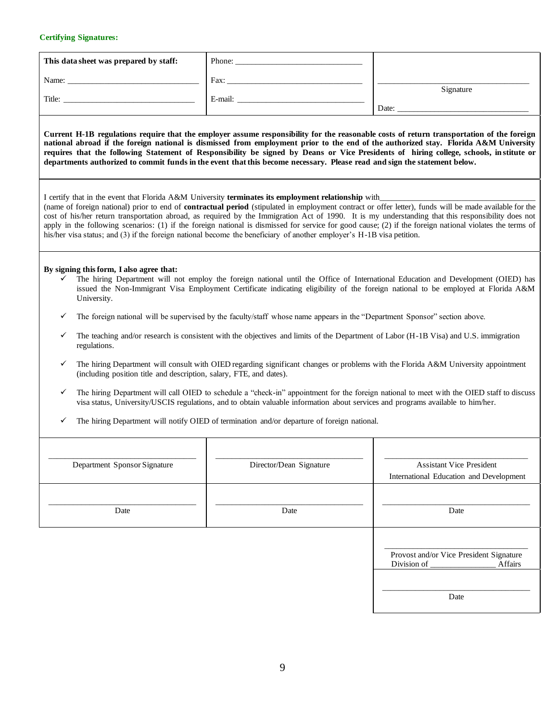#### **Certifying Signatures:**

| This data sheet was prepared by staff: | Phone:          |                    |
|----------------------------------------|-----------------|--------------------|
| Name:<br>Title:                        | Fax:<br>E-mail: | Signature<br>Date: |
|                                        |                 |                    |

**Current H-1B regulations require that the employer assume responsibility for the reasonable costs of return transportation of the foreign national abroad if the foreign national is dismissed from employment prior to the end of the authorized stay. Florida A&M University requires that the following Statement of Responsibility be signed by Deans or Vice Presidents of hiring college, schools, in stitute or departments authorized to commit funds in the event that this become necessary. Please read and sign the statement below.**

|  |  |  | I certify that in the event that Florida A&M University terminates its employment relationship with |  |  |
|--|--|--|-----------------------------------------------------------------------------------------------------|--|--|
|--|--|--|-----------------------------------------------------------------------------------------------------|--|--|

(name of foreign national) prior to end of **contractual period** (stipulated in employment contract or offer letter), funds will be made available for the cost of his/her return transportation abroad, as required by the Immigration Act of 1990. It is my understanding that this responsibility does not apply in the following scenarios: (1) if the foreign national is dismissed for service for good cause; (2) if the foreign national violates the terms of his/her visa status; and (3) if the foreign national become the beneficiary of another employer's H-1B visa petition.

#### **By signing this form, I also agree that:**

- The hiring Department will not employ the foreign national until the Office of International Education and Development (OIED) has issued the Non-Immigrant Visa Employment Certificate indicating eligibility of the foreign national to be employed at Florida A&M University.
- The foreign national will be supervised by the faculty/staff whose name appears in the "Department Sponsor" section above.
- The teaching and/or research is consistent with the objectives and limits of the Department of Labor (H-1B Visa) and U.S. immigration regulations.
- The hiring Department will consult with OIED regarding significant changes or problems with the Florida A&M University appointment (including position title and description, salary, FTE, and dates).
- The hiring Department will call OIED to schedule a "check-in" appointment for the foreign national to meet with the OIED staff to discuss visa status, University/USCIS regulations, and to obtain valuable information about services and programs available to him/her.
- The hiring Department will notify OIED of termination and/or departure of foreign national.

| Department Sponsor Signature | Director/Dean Signature | <b>Assistant Vice President</b><br>International Education and Development |
|------------------------------|-------------------------|----------------------------------------------------------------------------|
| Date                         | Date                    | Date                                                                       |
|                              |                         | Provost and/or Vice President Signature<br><b>Affairs</b><br>Division of   |
|                              |                         | Date                                                                       |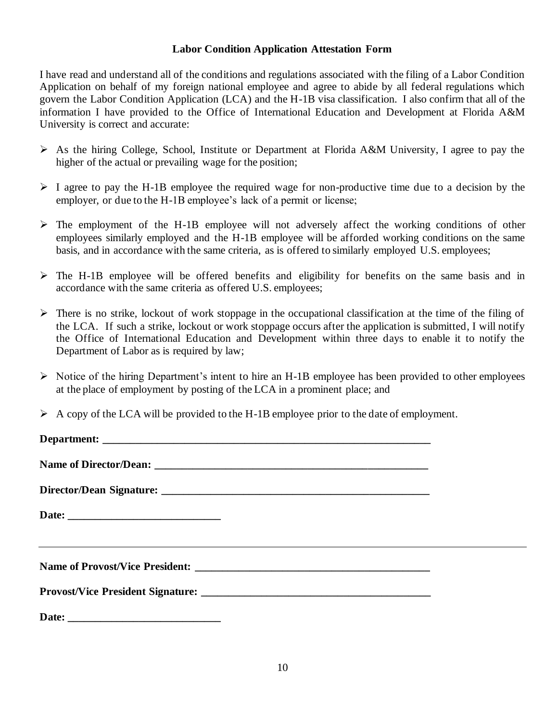## **Labor Condition Application Attestation Form**

I have read and understand all of the conditions and regulations associated with the filing of a Labor Condition Application on behalf of my foreign national employee and agree to abide by all federal regulations which govern the Labor Condition Application (LCA) and the H-1B visa classification. I also confirm that all of the information I have provided to the Office of International Education and Development at Florida A&M University is correct and accurate:

- ➢ As the hiring College, School, Institute or Department at Florida A&M University, I agree to pay the higher of the actual or prevailing wage for the position;
- $\triangleright$  I agree to pay the H-1B employee the required wage for non-productive time due to a decision by the employer, or due to the H-1B employee's lack of a permit or license;
- ➢ The employment of the H-1B employee will not adversely affect the working conditions of other employees similarly employed and the H-1B employee will be afforded working conditions on the same basis, and in accordance with the same criteria, as is offered to similarly employed U.S. employees;
- ➢ The H-1B employee will be offered benefits and eligibility for benefits on the same basis and in accordance with the same criteria as offered U.S. employees;
- ➢ There is no strike, lockout of work stoppage in the occupational classification at the time of the filing of the LCA. If such a strike, lockout or work stoppage occurs after the application is submitted, I will notify the Office of International Education and Development within three days to enable it to notify the Department of Labor as is required by law;
- ➢ Notice of the hiring Department's intent to hire an H-1B employee has been provided to other employees at the place of employment by posting of the LCA in a prominent place; and
- $\triangleright$  A copy of the LCA will be provided to the H-1B employee prior to the date of employment.

| <u> 1989 - Johann Stoff, deutscher Stoffen und der Stoffen und der Stoffen und der Stoffen und der Stoffen und de</u> |  |
|-----------------------------------------------------------------------------------------------------------------------|--|
|                                                                                                                       |  |
|                                                                                                                       |  |
|                                                                                                                       |  |